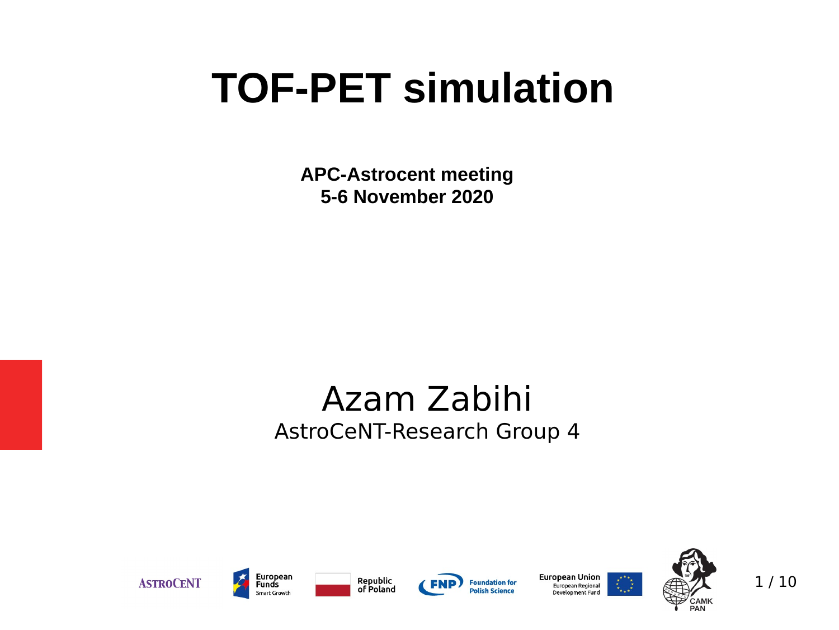# **TOF-PET simulation**

**APC-Astrocent meeting 5-6 November 2020**

### Azam Zabihi AstroCeNT-Research Group 4





Republic of Poland



**European Union** European Regional Development Fund



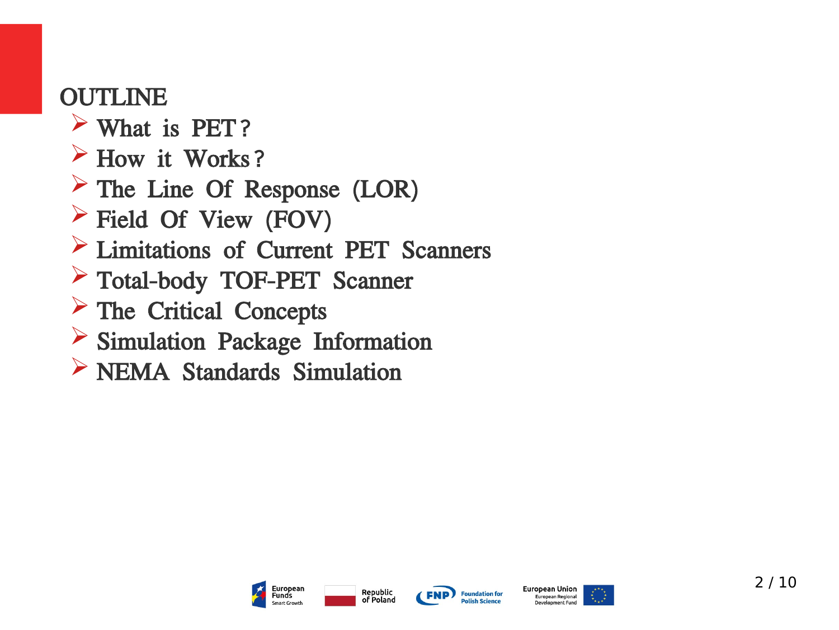### OUTLINE

- ➢ What is PET?
- $\triangleright$  How it Works?
- ➢ The Line Of Response (LOR)
- ➢ Field Of View (FOV)
- ➢ Limitations of Current PET Scanners
- ➢ Total-body TOF-PET Scanner
- ➢ The Critical Concepts
- ➢ Simulation Package Information
- ➢ NEMA Standards Simulation







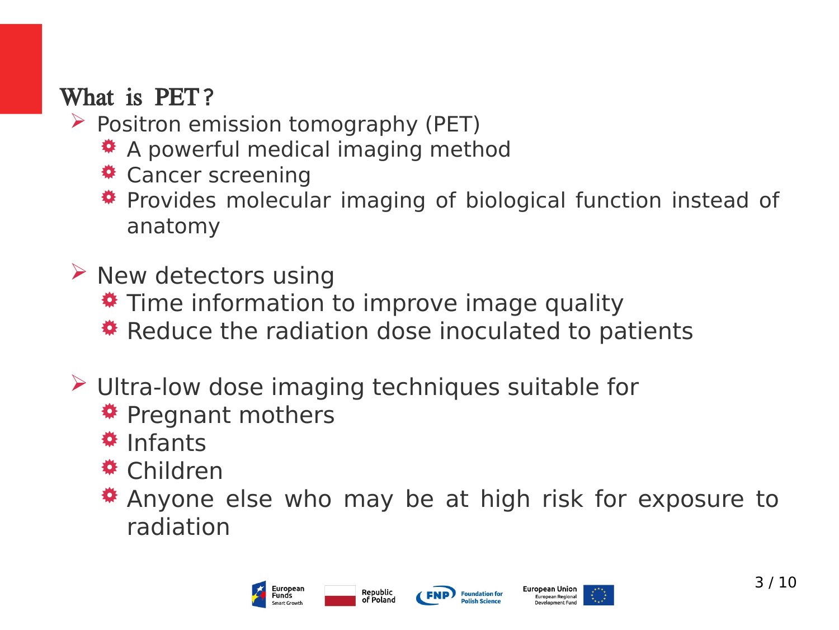### What is PET?

- $\triangleright$  Positron emission tomography (PET)
	- $\triangle$  **A powerful medical imaging method**
	- $\triangleq$  **Cancer screening**
	- $*$  **Provides molecular imaging of biological function instead of** anatomy
- $\triangleright$  New detectors using  $\overline{\textbf{L}}$  Time information to improve image quality **\*** Reduce the radiation dose inoculated to patients
- ➢ Ultra-low dose imaging techniques suitable for

Republic

of Poland

- **\*** Pregnant mothers
- *<u>*# Infants</u>
- *<u><b>* Children</u>
- $\ast$  **Anyone else who may be at high risk for exposure to** radiation





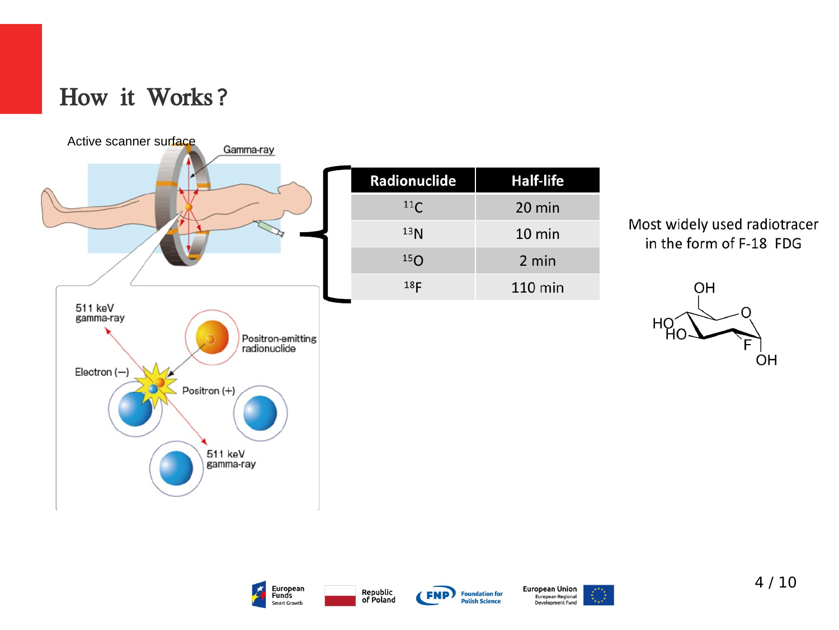### How it Works?



| <b>Radionuclide</b> | <b>Half-life</b> |
|---------------------|------------------|
| 11 <sub>C</sub>     | 20 min           |
| 13 <sub>N</sub>     | 10 min           |
| 15 <sub>O</sub>     | 2 min            |
| 18 <sub>F</sub>     | 110 min          |

#### Most widely used radiotracer in the form of F-18 FDG









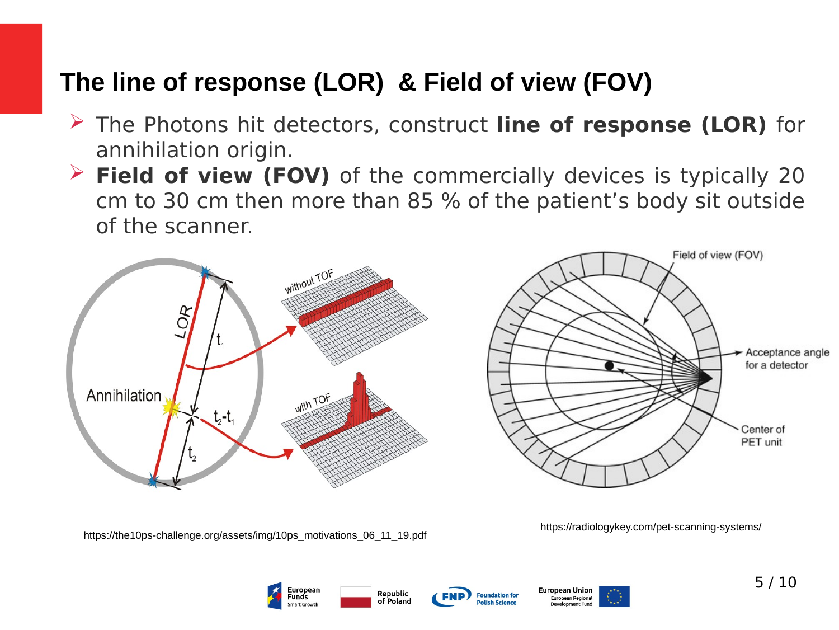### **The line of response (LOR) & Field of view (FOV)**

- ➢ The Photons hit detectors, construct **line of response (LOR)** for annihilation origin.
- ➢ **Field of view (FOV)** of the commercially devices is typically 20 cm to 30 cm then more than 85 % of the patient's body sit outside of the scanner.



https://the10ps-challenge.org/assets/img/10ps\_motivations\_06\_11\_19.pdf

https://radiologykey.com/pet-scanning-systems/





European Union European Regional

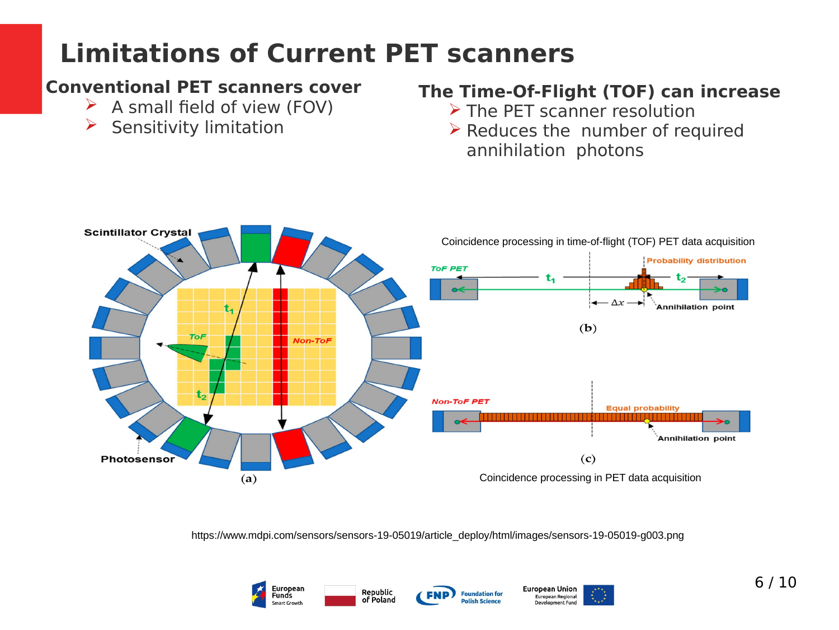## **Limitations of Current PET scanners**

#### **Conventional PET scanners cover**

- $\triangleright$  A small field of view (FOV)
- $\triangleright$  Sensitivity limitation

#### **The Time-Of-Flight (TOF) can increase**

- ➢ The PET scanner resolution
- $\triangleright$  Reduces the number of required annihilation photons



https://www.mdpi.com/sensors/sensors-19-05019/article\_deploy/html/images/sensors-19-05019-g003.png





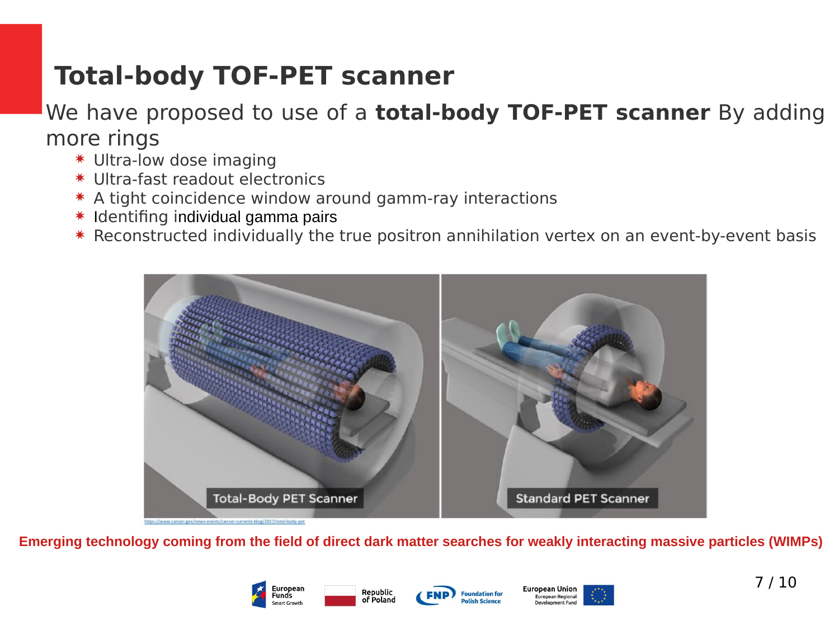# **Total-body TOF-PET scanner**

### We have proposed to use of a **total-body TOF-PET scanner** By adding more rings

- ✷ Ultra-low dose imaging
- ✷ Ultra-fast readout electronics
- ✷ A tight coincidence window around gamm-ray interactions
- ✷ Identifing individual gamma pairs
- ✷ Reconstructed individually the true positron annihilation vertex on an event-by-event basis



**Emerging technology coming from the field of direct dark matter searches for weakly interacting massive particles (WIMPs)**

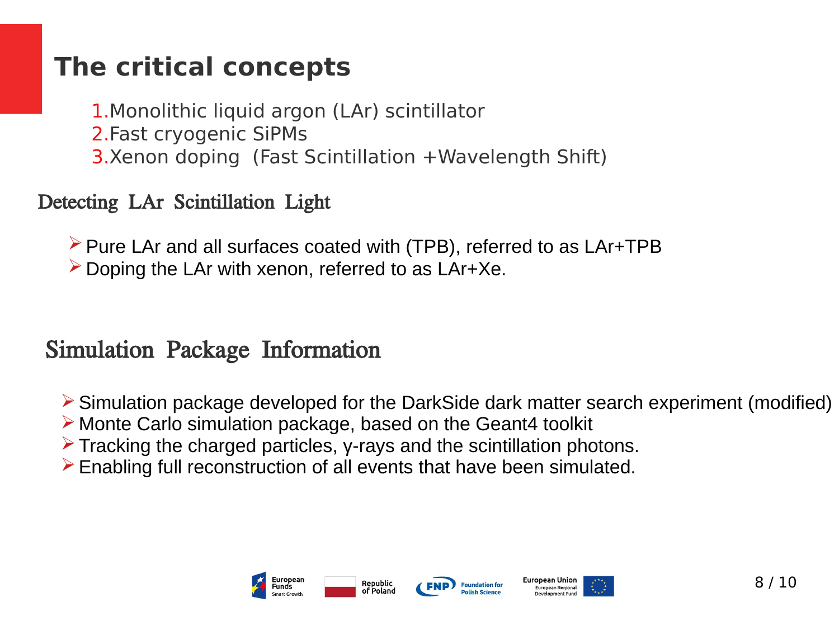### **The critical concepts**

1.Monolithic liquid argon (LAr) scintillator 2.Fast cryogenic SiPMs 3.Xenon doping (Fast Scintillation +Wavelength Shift)

### Detecting LAr Scintillation Light

➢Pure LAr and all surfaces coated with (TPB), referred to as LAr+TPB  $\triangleright$  Doping the LAr with xenon, referred to as LAr+Xe.

### Simulation Package Information

➢Simulation package developed for the DarkSide dark matter search experiment (modified)

- ➢ Monte Carlo simulation package, based on the Geant4 toolkit
- $\triangleright$  Tracking the charged particles, y-rays and the scintillation photons.
- $\triangleright$  Enabling full reconstruction of all events that have been simulated.



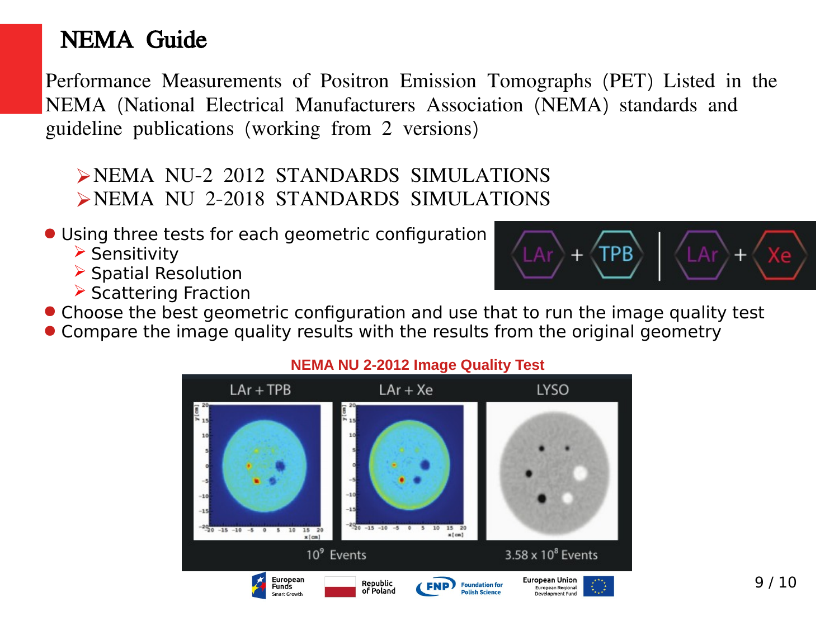### NEMA Guide

Performance Measurements of Positron Emission Tomographs (PET) Listed in the NEMA (National Electrical Manufacturers Association (NEMA) standards and guideline publications (working from 2 versions)

- ➢NEMA NU-2 2012 STANDARDS SIMULATIONS ➢NEMA NU 2-2018 STANDARDS SIMULATIONS
- Using three tests for each geometric configuration
	- ➢ Sensitivity
	- ➢ Spatial Resolution
	- ➢ Scattering Fraction



● Compare the image quality results with the results from the original geometry



#### **NEMA NU 2-2012 Image Quality Test**

TPB